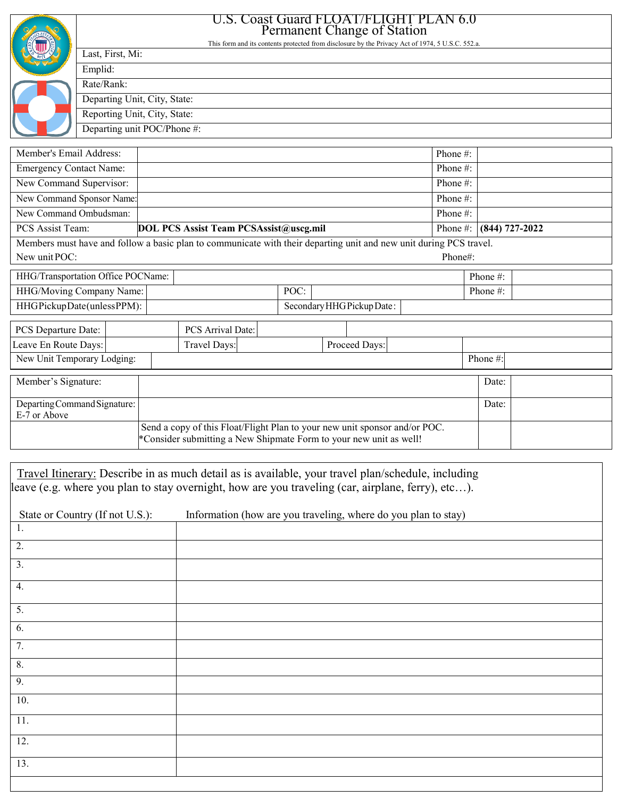|                                                                                                                                                  | U.S. Coast Guard FLOAT/FLIGHT PLAN 6.0                                                                               |              |                                                                                                                    |                            |  |          |  |                    |          |  |
|--------------------------------------------------------------------------------------------------------------------------------------------------|----------------------------------------------------------------------------------------------------------------------|--------------|--------------------------------------------------------------------------------------------------------------------|----------------------------|--|----------|--|--------------------|----------|--|
|                                                                                                                                                  | Permanent Change of Station                                                                                          |              |                                                                                                                    |                            |  |          |  |                    |          |  |
|                                                                                                                                                  | This form and its contents protected from disclosure by the Privacy Act of 1974, 5 U.S.C. 552.a.<br>Last, First, Mi: |              |                                                                                                                    |                            |  |          |  |                    |          |  |
|                                                                                                                                                  | Emplid:                                                                                                              |              |                                                                                                                    |                            |  |          |  |                    |          |  |
|                                                                                                                                                  | Rate/Rank:                                                                                                           |              |                                                                                                                    |                            |  |          |  |                    |          |  |
|                                                                                                                                                  | Departing Unit, City, State:                                                                                         |              |                                                                                                                    |                            |  |          |  |                    |          |  |
|                                                                                                                                                  | Reporting Unit, City, State:                                                                                         |              |                                                                                                                    |                            |  |          |  |                    |          |  |
|                                                                                                                                                  | Departing unit POC/Phone #:                                                                                          |              |                                                                                                                    |                            |  |          |  |                    |          |  |
|                                                                                                                                                  |                                                                                                                      |              |                                                                                                                    |                            |  |          |  |                    |          |  |
| Member's Email Address:                                                                                                                          |                                                                                                                      |              |                                                                                                                    |                            |  |          |  | Phone #:           |          |  |
| <b>Emergency Contact Name:</b>                                                                                                                   |                                                                                                                      |              |                                                                                                                    |                            |  |          |  | Phone #:           |          |  |
| New Command Supervisor:                                                                                                                          |                                                                                                                      |              |                                                                                                                    |                            |  |          |  | Phone #:           |          |  |
| New Command Sponsor Name:                                                                                                                        |                                                                                                                      |              |                                                                                                                    |                            |  |          |  | Phone #:           |          |  |
| New Command Ombudsman:                                                                                                                           |                                                                                                                      |              |                                                                                                                    |                            |  |          |  | Phone #:           |          |  |
| PCS Assist Team:<br>DOL PCS Assist Team PCSAssist@uscg.mil                                                                                       |                                                                                                                      |              |                                                                                                                    |                            |  | Phone #: |  | $(844) 727 - 2022$ |          |  |
|                                                                                                                                                  |                                                                                                                      |              | Members must have and follow a basic plan to communicate with their departing unit and new unit during PCS travel. |                            |  |          |  |                    |          |  |
| New unit POC:                                                                                                                                    |                                                                                                                      |              |                                                                                                                    |                            |  |          |  | Phone#:            |          |  |
| HHG/Transportation Office POCName:                                                                                                               |                                                                                                                      |              |                                                                                                                    |                            |  |          |  |                    | Phone #: |  |
| HHG/Moving Company Name:                                                                                                                         |                                                                                                                      |              |                                                                                                                    | POC:                       |  |          |  | Phone #:           |          |  |
| HHGPickupDate(unlessPPM):                                                                                                                        |                                                                                                                      |              |                                                                                                                    | Secondary HHG Pickup Date: |  |          |  |                    |          |  |
| PCS Departure Date:                                                                                                                              |                                                                                                                      |              | PCS Arrival Date:                                                                                                  |                            |  |          |  |                    |          |  |
| Leave En Route Days:                                                                                                                             |                                                                                                                      | Travel Days: |                                                                                                                    | Proceed Days:              |  |          |  |                    |          |  |
| New Unit Temporary Lodging:                                                                                                                      |                                                                                                                      |              |                                                                                                                    |                            |  |          |  | Phone#:            |          |  |
|                                                                                                                                                  |                                                                                                                      |              |                                                                                                                    |                            |  |          |  |                    |          |  |
| Member's Signature:                                                                                                                              |                                                                                                                      |              |                                                                                                                    |                            |  |          |  |                    | Date:    |  |
| Departing Command Signature:                                                                                                                     |                                                                                                                      |              |                                                                                                                    | Date:                      |  |          |  |                    |          |  |
| E-7 or Above                                                                                                                                     |                                                                                                                      |              |                                                                                                                    |                            |  |          |  |                    |          |  |
| Send a copy of this Float/Flight Plan to your new unit sponsor and/or POC.<br>*Consider submitting a New Shipmate Form to your new unit as well! |                                                                                                                      |              |                                                                                                                    |                            |  |          |  |                    |          |  |
|                                                                                                                                                  |                                                                                                                      |              |                                                                                                                    |                            |  |          |  |                    |          |  |
|                                                                                                                                                  |                                                                                                                      |              |                                                                                                                    |                            |  |          |  |                    |          |  |

Travel Itinerary: Describe in as much detail as is available, your travel plan/schedule, including leave (e.g. where you plan to stay overnight, how are you traveling (car, airplane, ferry), etc…).

| State or Country (If not U.S.): | Information (how are you traveling, where do you plan to stay) |
|---------------------------------|----------------------------------------------------------------|
| 1.                              |                                                                |
| 2.                              |                                                                |
| 3.                              |                                                                |
| 4.                              |                                                                |
| 5.                              |                                                                |
| 6.                              |                                                                |
| 7.                              |                                                                |
| 8.                              |                                                                |
| 9.                              |                                                                |
| 10.                             |                                                                |
| 11.                             |                                                                |
| 12.                             |                                                                |
| 13.                             |                                                                |
|                                 |                                                                |